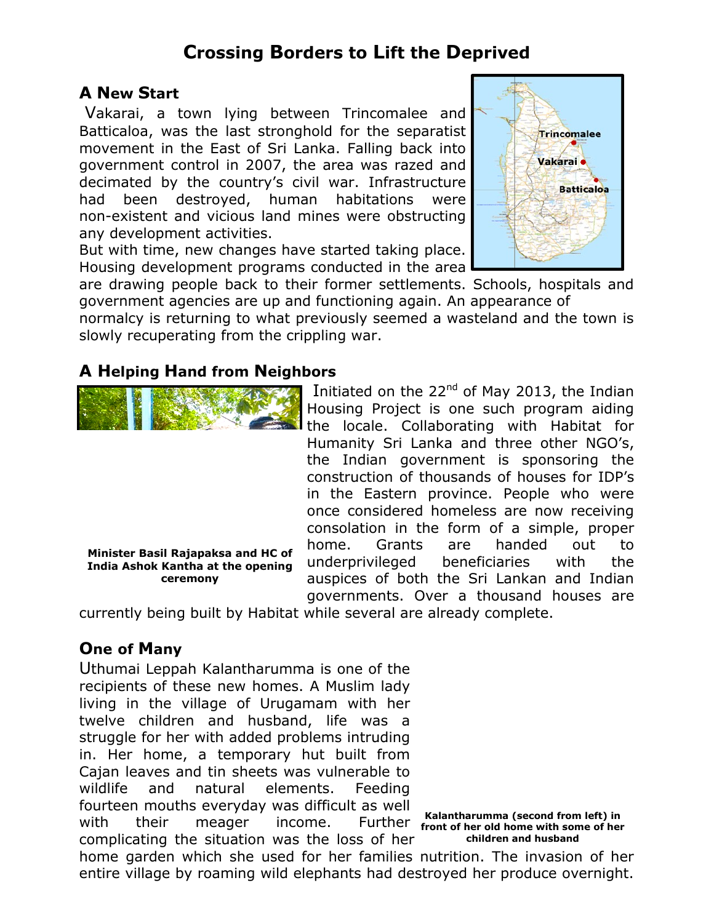## **Crossing Borders to Lift the Deprived**

## **A New Start**

 Vakarai, a town lying between Trincomalee and Batticaloa, was the last stronghold for the separatist movement in the East of Sri Lanka. Falling back into government control in 2007, the area was razed and decimated by the country's civil war. Infrastructure had been destroyed, human habitations were non-existent and vicious land mines were obstructing any development activities.

But with time, new changes have started taking place. Housing development programs conducted in the area



are drawing people back to their former settlements. Schools, hospitals and government agencies are up and functioning again. An appearance of

normalcy is returning to what previously seemed a wasteland and the town is slowly recuperating from the crippling war.

## **A Helping Hand from Neighbors**

**Minister Basil Rajapaksa and HC of India Ashok Kantha at the opening ceremony** 

Housing Project is one such program aiding the locale. Collaborating with Habitat for Humanity Sri Lanka and three other NGO's, the Indian government is sponsoring the construction of thousands of houses for IDP's in the Eastern province. People who were once considered homeless are now receiving consolation in the form of a simple, proper home. Grants are handed out to underprivileged beneficiaries with the auspices of both the Sri Lankan and Indian governments. Over a thousand houses are

Initiated on the 22<sup>nd</sup> of May 2013, the Indian

currently being built by Habitat while several are already complete.

## **One of Many**

Uthumai Leppah Kalantharumma is one of the recipients of these new homes. A Muslim lady living in the village of Urugamam with her twelve children and husband, life was a struggle for her with added problems intruding in. Her home, a temporary hut built from Cajan leaves and tin sheets was vulnerable to wildlife and natural elements. Feeding fourteen mouths everyday was difficult as well with their meager income. complicating the situation was the loss of her

**Kalantharumma (second from left) in front of her old home with some of her children and husband** 

home garden which she used for her families nutrition. The invasion of her entire village by roaming wild elephants had destroyed her produce overnight.